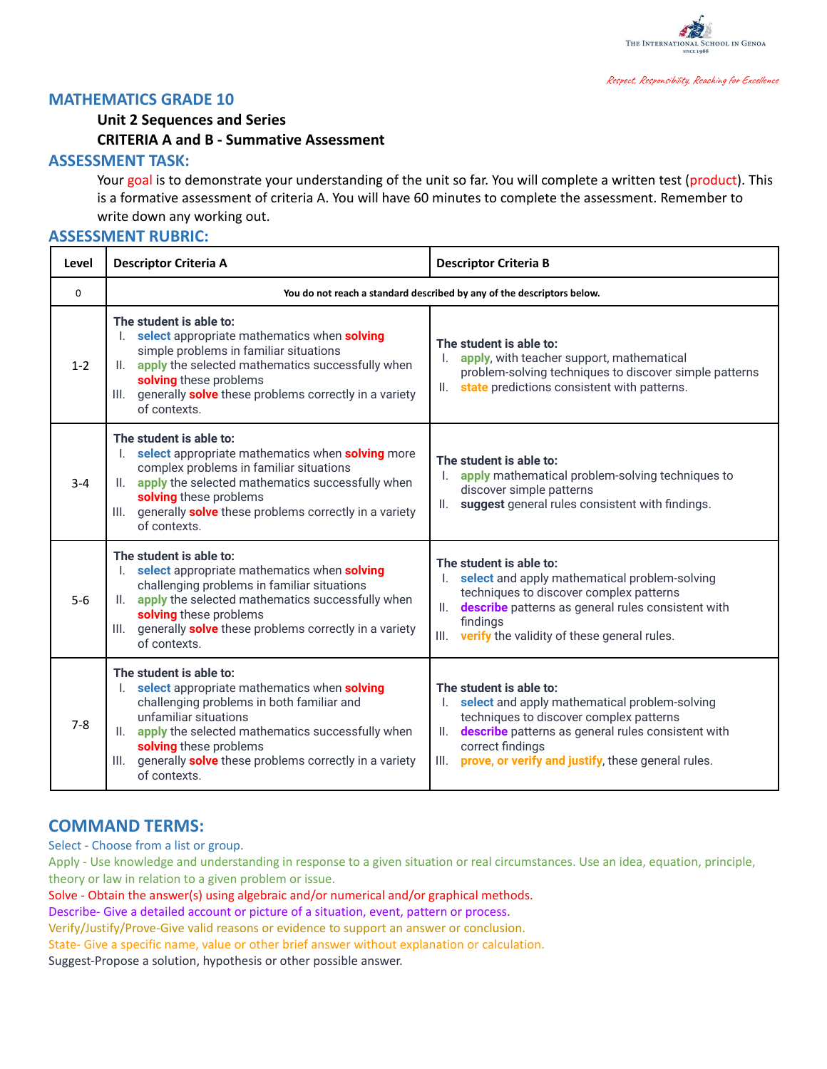

#### **MATHEMATICS GRADE 10**

## **Unit 2 Sequences and Series CRITERIA A and B - Summative Assessment**

#### **ASSESSMENT TASK:**

Your goal is to demonstrate your understanding of the unit so far. You will complete a written test (product). This is a formative assessment of criteria A. You will have 60 minutes to complete the assessment. Remember to write down any working out.

### **ASSESSMENT RUBRIC:**

| Level    | <b>Descriptor Criteria A</b>                                                                                                                                                                                                                                                                                       | <b>Descriptor Criteria B</b>                                                                                                                                                                                                                                       |  |
|----------|--------------------------------------------------------------------------------------------------------------------------------------------------------------------------------------------------------------------------------------------------------------------------------------------------------------------|--------------------------------------------------------------------------------------------------------------------------------------------------------------------------------------------------------------------------------------------------------------------|--|
| $\Omega$ | You do not reach a standard described by any of the descriptors below.                                                                                                                                                                                                                                             |                                                                                                                                                                                                                                                                    |  |
| $1 - 2$  | The student is able to:<br>select appropriate mathematics when solving<br>simple problems in familiar situations<br>II. apply the selected mathematics successfully when<br>solving these problems<br>generally <b>solve</b> these problems correctly in a variety<br>III.<br>of contexts.                         | The student is able to:<br>apply, with teacher support, mathematical<br>problem-solving techniques to discover simple patterns<br>state predictions consistent with patterns.<br>Ш.                                                                                |  |
| $3 - 4$  | The student is able to:<br>select appropriate mathematics when solving more<br>complex problems in familiar situations<br>apply the selected mathematics successfully when<br>solving these problems<br>generally <b>solve</b> these problems correctly in a variety<br>III.<br>of contexts.                       | The student is able to:<br>apply mathematical problem-solving techniques to<br>discover simple patterns<br>suggest general rules consistent with findings.<br>II.                                                                                                  |  |
| $5-6$    | The student is able to:<br>select appropriate mathematics when solving<br>challenging problems in familiar situations<br>II. apply the selected mathematics successfully when<br>solving these problems<br>generally solve these problems correctly in a variety<br>III.<br>of contexts.                           | The student is able to:<br>select and apply mathematical problem-solving<br>techniques to discover complex patterns<br>describe patterns as general rules consistent with<br>II.<br>findings<br>III.<br>verify the validity of these general rules.                |  |
| $7 - 8$  | The student is able to:<br>I. select appropriate mathematics when solving<br>challenging problems in both familiar and<br>unfamiliar situations<br>II. apply the selected mathematics successfully when<br>solving these problems<br>generally solve these problems correctly in a variety<br>III.<br>of contexts. | The student is able to:<br>select and apply mathematical problem-solving<br>techniques to discover complex patterns<br>describe patterns as general rules consistent with<br>II.<br>correct findings<br>prove, or verify and justify, these general rules.<br>III. |  |

## **COMMAND TERMS:**

Select - Choose from a list or group.

Apply - Use knowledge and understanding in response to a given situation or real circumstances. Use an idea, equation, principle, theory or law in relation to a given problem or issue.

Solve - Obtain the answer(s) using algebraic and/or numerical and/or graphical methods.

Describe- Give a detailed account or picture of a situation, event, pattern or process.

Verify/Justify/Prove-Give valid reasons or evidence to support an answer or conclusion.

State- Give a specific name, value or other brief answer without explanation or calculation.

Suggest-Propose a solution, hypothesis or other possible answer.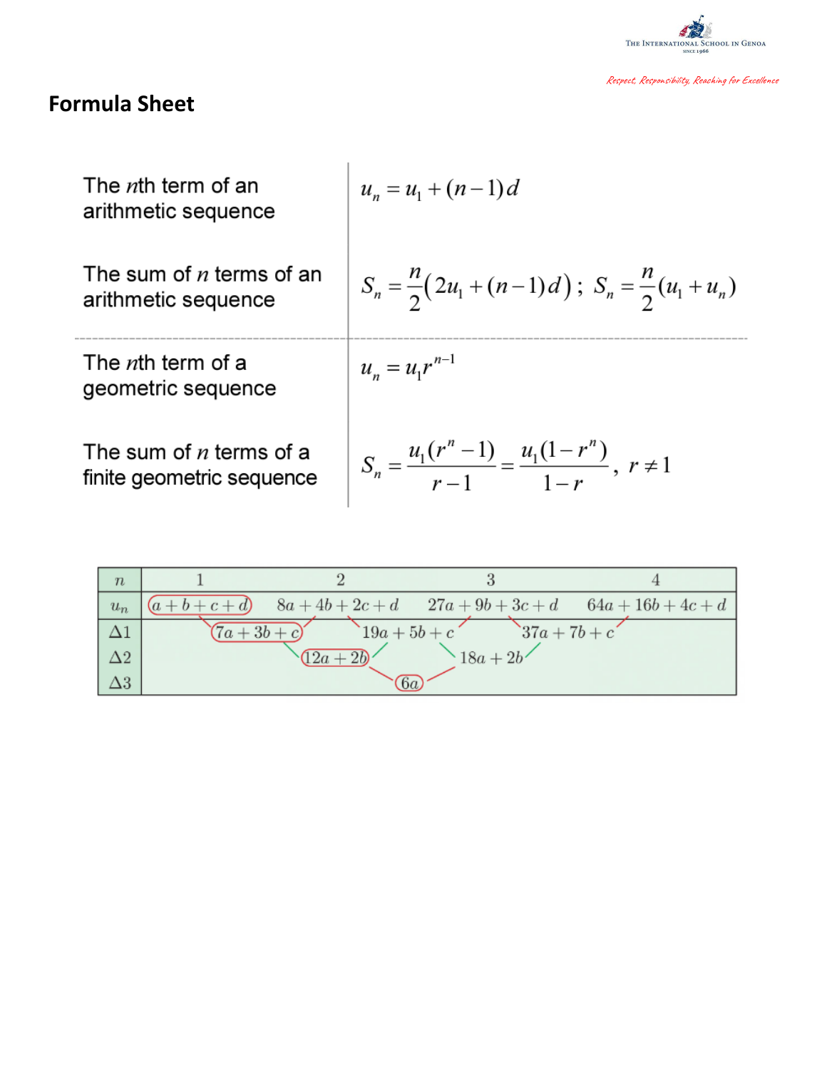

# **Formula Shee t**

| The <i>n</i> th term of an<br>arithmetic sequence      | $u_n = u_1 + (n-1)d$                                                      |
|--------------------------------------------------------|---------------------------------------------------------------------------|
| The sum of $n$ terms of an<br>arithmetic sequence      | $S_n = \frac{n}{2}(2u_1 + (n-1)d); S_n = \frac{n}{2}(u_1 + u_n)$          |
| The <i>n</i> th term of a<br>geometric sequence        | $u_n = u_1 r^{n-1}$                                                       |
| The sum of $n$ terms of a<br>finite geometric sequence | $S_n = \frac{u_1(r^n - 1)}{r - 1} = \frac{u_1(1 - r^n)}{1 - r}, r \neq 1$ |

| $\boldsymbol{n}$ |                                |                |                 |                                                       |
|------------------|--------------------------------|----------------|-----------------|-------------------------------------------------------|
| $u_n$            |                                |                |                 | $(a+b+c+d)$ $8a+4b+2c+d$ $27a+9b+3c+d$ $64a+16b+4c+d$ |
|                  | $(7a+3b+c)$                    | $19a + 5b + c$ | $37a + 7b + c'$ |                                                       |
| $\Delta 2$       | $\sqrt{12a+2b}$<br>$18a + 2b'$ |                |                 |                                                       |
| $\Delta 3$       |                                | $\sqrt{6a}$    |                 |                                                       |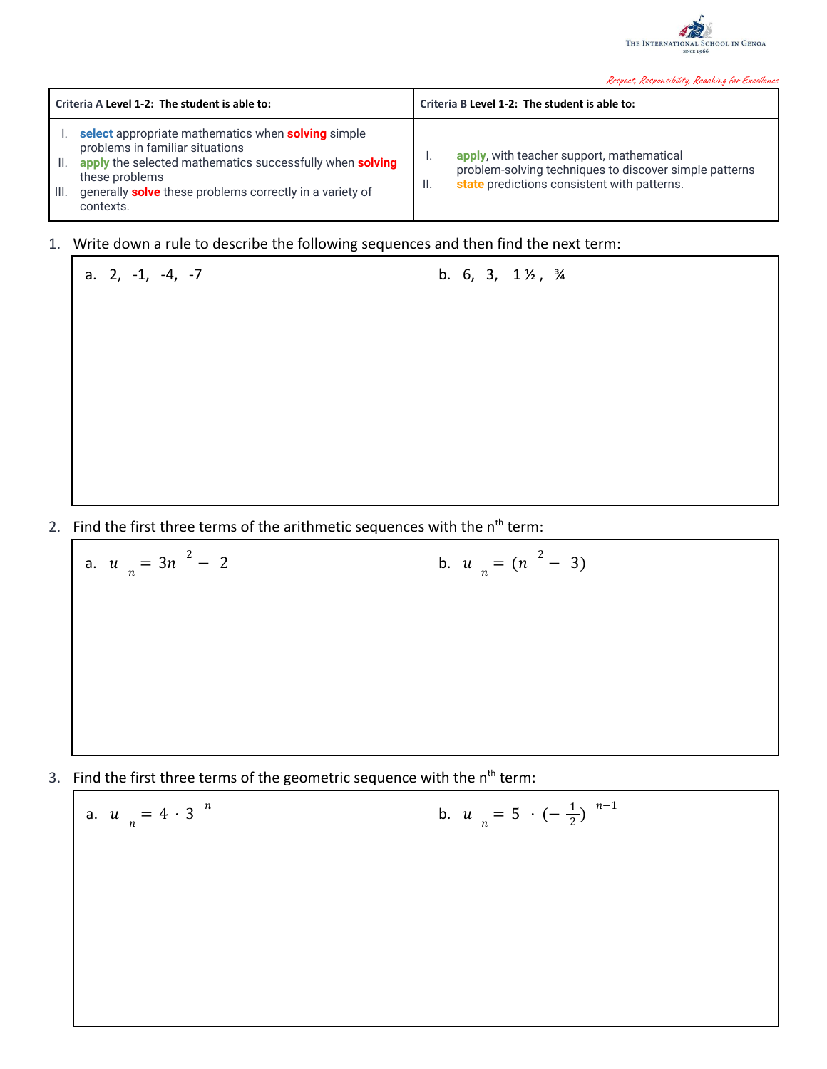

| Criteria A Level 1-2: The student is able to:                                                                                                                                                                                                              | Criteria B Level 1-2: The student is able to:                                                                                                            |
|------------------------------------------------------------------------------------------------------------------------------------------------------------------------------------------------------------------------------------------------------------|----------------------------------------------------------------------------------------------------------------------------------------------------------|
| select appropriate mathematics when solving simple<br>problems in familiar situations<br>apply the selected mathematics successfully when solving<br>H.<br>these problems<br>generally solve these problems correctly in a variety of<br>III.<br>contexts. | apply, with teacher support, mathematical<br>problem-solving techniques to discover simple patterns<br>state predictions consistent with patterns.<br>H. |

## 1. Write down a rule to describe the following sequences and then find the next term:

| a. $2, -1, -4, -7$ | b. 6, 3, $1\frac{1}{2}$ , $\frac{3}{4}$ |
|--------------------|-----------------------------------------|
|                    |                                         |
|                    |                                         |
|                    |                                         |
|                    |                                         |
|                    |                                         |
|                    |                                         |

2. Find the first three terms of the arithmetic sequences with the  $n<sup>th</sup>$  term:

| a. $u_n = 3n^2 - 2$ | b. $u_n = (n^2 - 3)$ |
|---------------------|----------------------|
|                     |                      |
|                     |                      |
|                     |                      |

3. Find the first three terms of the geometric sequence with the n<sup>th</sup> term:

| $u_n = 4 \cdot 3^{n}$ | b. $u_n = 5 \cdot (-\frac{1}{2})^{n-1}$ |
|-----------------------|-----------------------------------------|
|                       |                                         |
|                       |                                         |
|                       |                                         |
|                       |                                         |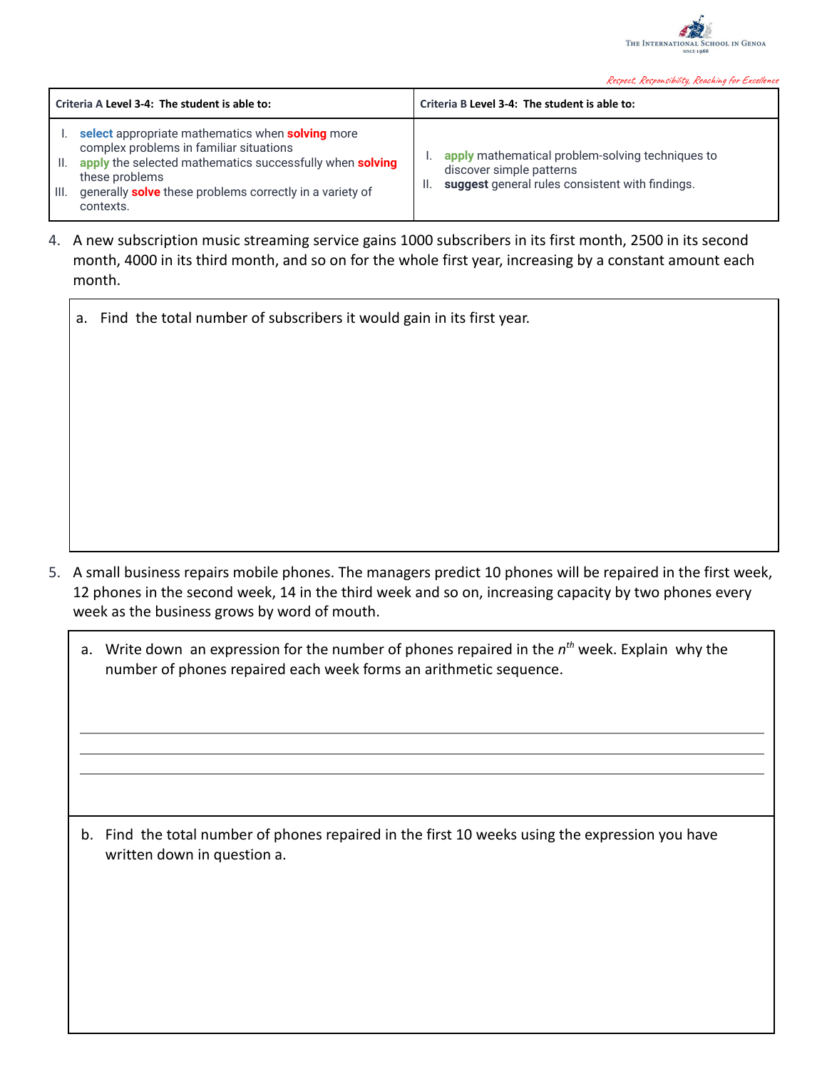

| Criteria A Level 3-4: The student is able to:                                                                                                                                                                                                                                  | Criteria B Level 3-4: The student is able to:                                                                                   |
|--------------------------------------------------------------------------------------------------------------------------------------------------------------------------------------------------------------------------------------------------------------------------------|---------------------------------------------------------------------------------------------------------------------------------|
| select appropriate mathematics when solving more<br>complex problems in familiar situations<br>apply the selected mathematics successfully when solving<br>- II.<br>these problems<br>generally solve these problems correctly in a variety of<br>$\mathsf{III}.$<br>contexts. | apply mathematical problem-solving techniques to<br>discover simple patterns<br>suggest general rules consistent with findings. |

- 4. A new subscription music streaming service gains 1000 subscribers in its first month, 2500 in its second month, 4000 in its third month, and so on for the whole first year, increasing by a constant amount each month.
	- a. Find the total number of subscribers it would gain in its first year.

- 5. A small business repairs mobile phones. The managers predict 10 phones will be repaired in the first week, 12 phones in the second week, 14 in the third week and so on, increasing capacity by two phones every week as the business grows by word of mouth.
	- a. Write down an expression for the number of phones repaired in the n<sup>th</sup> week. Explain why the number of phones repaired each week forms an arithmetic sequence.

b. Find the total number of phones repaired in the first 10 weeks using the expression you have written down in question a.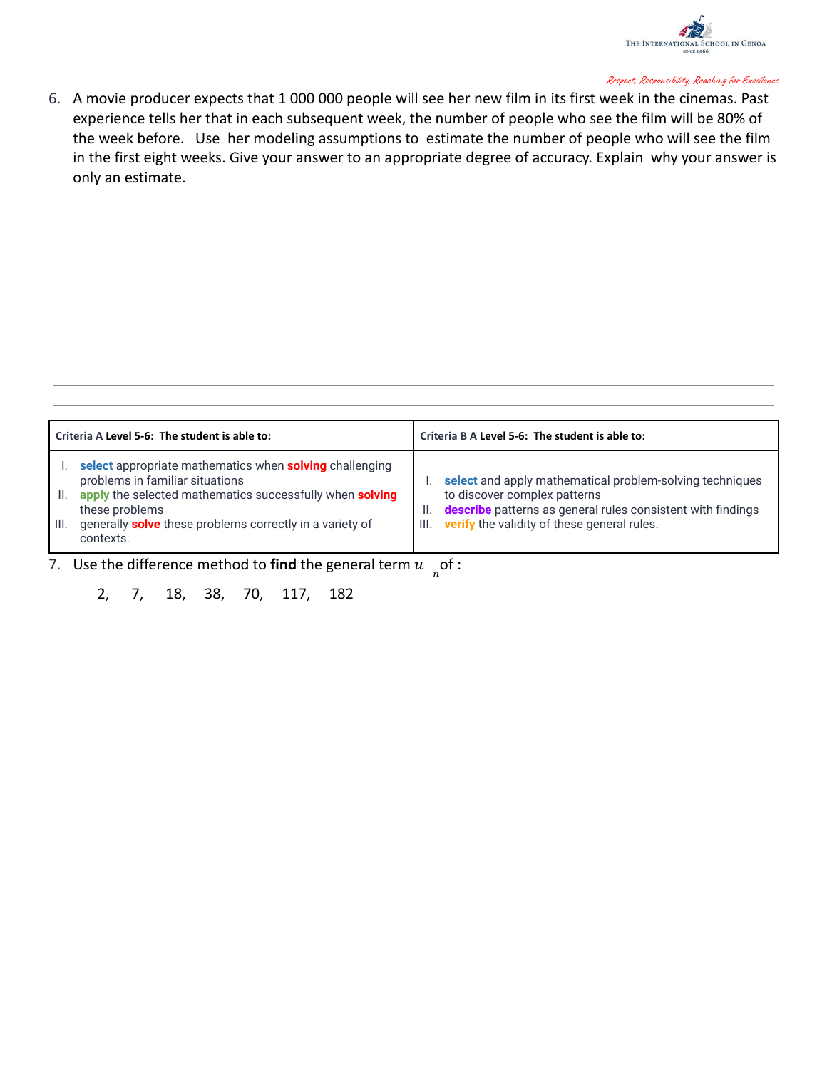

6. A movie producer expects that 1 000 000 people will see her new film in its first week in the cinemas. Past experience tells her that in each subsequent week, the number of people who see the film will be 80% of the week before. Use her modeling assumptions to estimate the number of people who will see the film in the first eight weeks. Give your answer to an appropriate degree of accuracy. Explain why your answer is only an estimate.

| Criteria A Level 5-6: The student is able to:                                                                                                                                                                                                                           | Criteria B A Level 5-6: The student is able to:                                                                                                                                                                      |
|-------------------------------------------------------------------------------------------------------------------------------------------------------------------------------------------------------------------------------------------------------------------------|----------------------------------------------------------------------------------------------------------------------------------------------------------------------------------------------------------------------|
| select appropriate mathematics when solving challenging<br>problems in familiar situations<br>apply the selected mathematics successfully when solving<br>II.<br>these problems<br>generally <b>solve</b> these problems correctly in a variety of<br>HII.<br>contexts. | select and apply mathematical problem-solving techniques<br>to discover complex patterns<br>describe patterns as general rules consistent with findings<br>H.<br>verify the validity of these general rules.<br>III. |

7. Use the difference method to **find** the general term  $u_{n}$  of :

2, 7, 18, 38, 70, 117, 182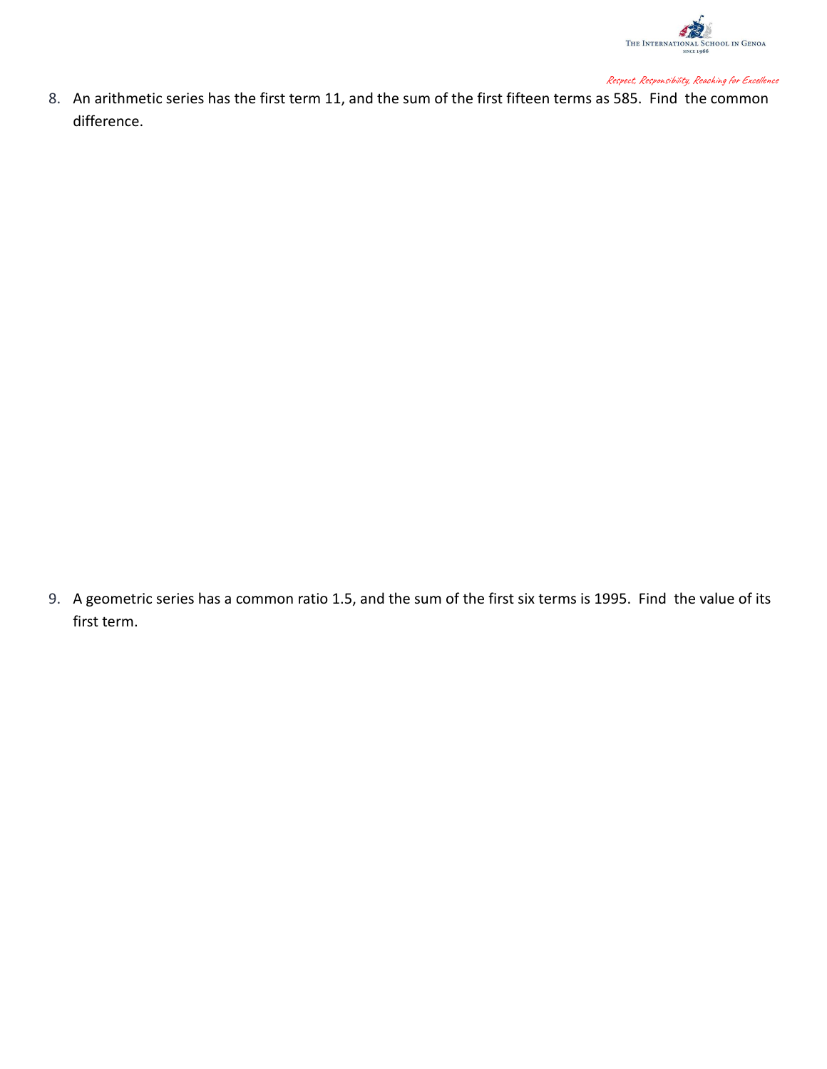

8. An arithmetic series has the first term 11, and the sum of the first fifteen terms as 585. Find the common difference.

9. A geometric series has a common ratio 1.5, and the sum of the first six terms is 1995. Find the value of its first term.